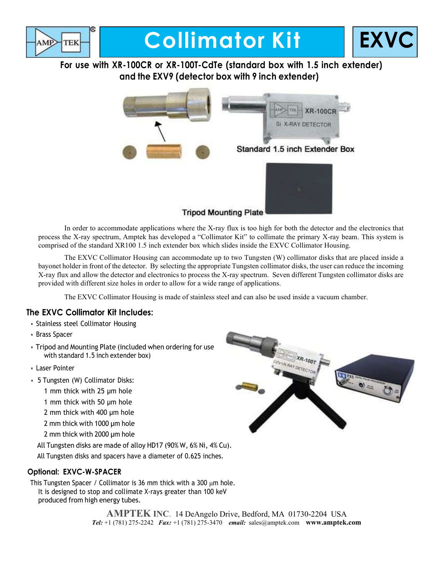

# **Collimator Kit | EXV**



For use with XR-100CR or XR-100T-CdTe (standard box with 1.5 inch extender) and the EXV9 (detector box with 9 inch extender)



In order to accommodate applications where the X-ray flux is too high for both the detector and the electronics that process the X-ray spectrum, Amptek has developed a "Collimator Kit" to collimate the primary X-ray beam. This system is comprised of the standard XR100 1.5 inch extender box which slides inside the EXVC Collimator Housing.

The EXVC Collimator Housing can accommodate up to two Tungsten (W) collimator disks that are placed inside a bayonet holder in front of the detector. By selecting the appropriate Tungsten collimator disks, the user can reduce the incoming X-ray flux and allow the detector and electronics to process the X-ray spectrum. Seven different Tungsten collimator disks are provided with different size holes in order to allow for a wide range of applications.

The EXVC Collimator Housing is made of stainless steel and can also be used inside a vacuum chamber.

#### The EXVC Collimator Kit Includes:

- Stainless steel Collimator Housing
- Brass Spacer
- Tripod and Mounting Plate (included when ordering for use with standard 1.5 inch extender box)
- Laser Pointer
- 5 Tungsten (W) Collimator Disks:
	- 1 mm thick with 25 µm hole
	- 1 mm thick with 50 µm hole
	- 2 mm thick with 400 µm hole
	- 2 mm thick with 1000 µm hole
	- 2 mm thick with 2000 µm hole

All Tungsten disks are made of alloy HD17 (90% W, 6% Ni, 4% Cu).

All Tungsten disks and spacers have a diameter of 0.625 inches.

#### Optional: EXVC-W-SPACER

This Tungsten Spacer / Collimator is 36 mm thick with a 300  $\mu$ m hole. It is designed to stop and collimate X-rays greater than 100 keV produced from high energy tubes.

> AMPTEK INC. 14 DeAngelo Drive, Bedford, MA 01730-2204 USA Tel: +1 (781) 275-2242 Fax: +1 (781) 275-3470 email: sales@amptek.com www.amptek.com

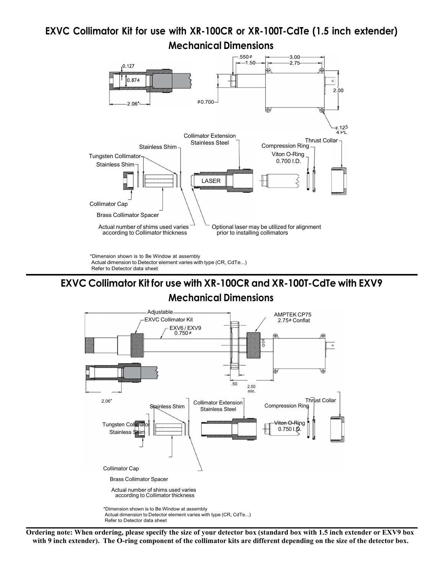## EXVC Collimator Kit for use with XR-100CR or XR-100T-CdTe (1.5 inch extender) Mechanical Dimensions



\*Dimension shown is to Be Window at assembly Actual dimension to Detector element varies with type (CR, CdTe...) Refer to Detector data sheet

## EXVC Collimator Kit for use with XR-100CR and XR-100T-CdTe with EXV9

### Mechanical Dimensions



Ordering note: When ordering, please specify the size of your detector box (standard box with 1.5 inch extender or EXV9 box with 9 inch extender). The O-ring component of the collimator kits are different depending on the size of the detector box.